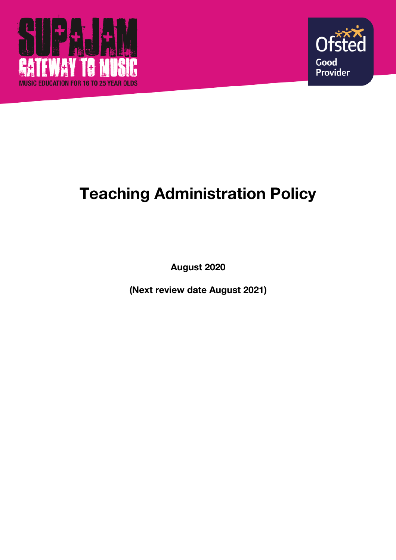



# **Teaching Administration Policy**

**August 2020**

**(Next review date August 2021)**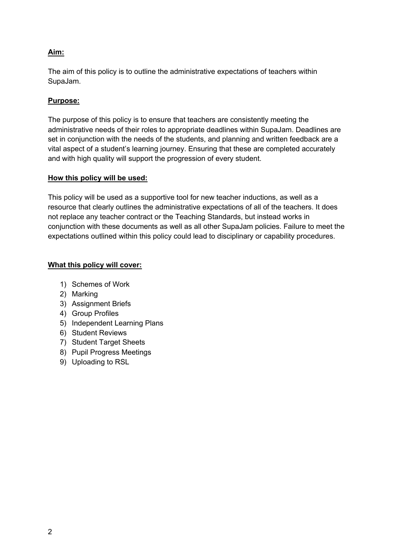# **Aim:**

The aim of this policy is to outline the administrative expectations of teachers within SupaJam.

# **Purpose:**

The purpose of this policy is to ensure that teachers are consistently meeting the administrative needs of their roles to appropriate deadlines within SupaJam. Deadlines are set in conjunction with the needs of the students, and planning and written feedback are a vital aspect of a student's learning journey. Ensuring that these are completed accurately and with high quality will support the progression of every student.

## **How this policy will be used:**

This policy will be used as a supportive tool for new teacher inductions, as well as a resource that clearly outlines the administrative expectations of all of the teachers. It does not replace any teacher contract or the Teaching Standards, but instead works in conjunction with these documents as well as all other SupaJam policies. Failure to meet the expectations outlined within this policy could lead to disciplinary or capability procedures.

# **What this policy will cover:**

- 1) Schemes of Work
- 2) Marking
- 3) Assignment Briefs
- 4) Group Profiles
- 5) Independent Learning Plans
- 6) Student Reviews
- 7) Student Target Sheets
- 8) Pupil Progress Meetings
- 9) Uploading to RSL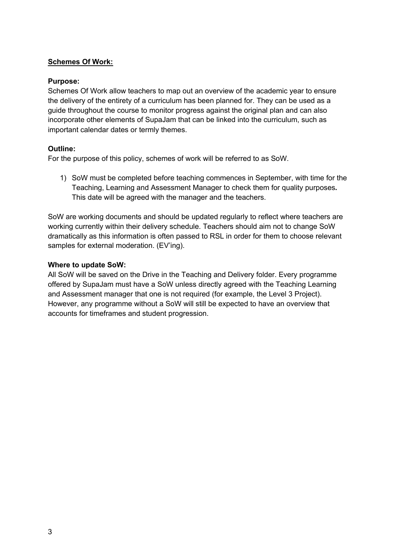# **Schemes Of Work:**

## **Purpose:**

Schemes Of Work allow teachers to map out an overview of the academic year to ensure the delivery of the entirety of a curriculum has been planned for. They can be used as a guide throughout the course to monitor progress against the original plan and can also incorporate other elements of SupaJam that can be linked into the curriculum, such as important calendar dates or termly themes.

## **Outline:**

For the purpose of this policy, schemes of work will be referred to as SoW.

1) SoW must be completed before teaching commences in September, with time for the Teaching, Learning and Assessment Manager to check them for quality purposes**.** This date will be agreed with the manager and the teachers.

SoW are working documents and should be updated regularly to reflect where teachers are working currently within their delivery schedule. Teachers should aim not to change SoW dramatically as this information is often passed to RSL in order for them to choose relevant samples for external moderation. (EV'ing).

## **Where to update SoW:**

All SoW will be saved on the Drive in the Teaching and Delivery folder. Every programme offered by SupaJam must have a SoW unless directly agreed with the Teaching Learning and Assessment manager that one is not required (for example, the Level 3 Project). However, any programme without a SoW will still be expected to have an overview that accounts for timeframes and student progression.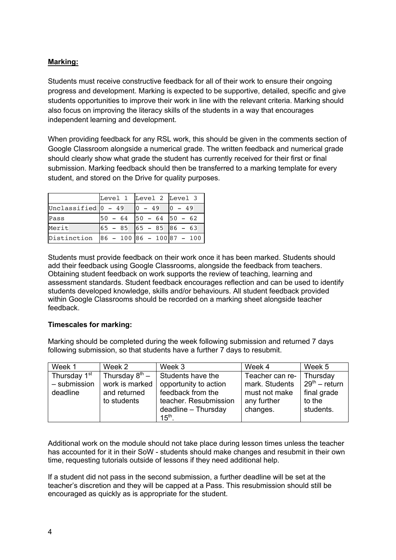# **Marking:**

Students must receive constructive feedback for all of their work to ensure their ongoing progress and development. Marking is expected to be supportive, detailed, specific and give students opportunities to improve their work in line with the relevant criteria. Marking should also focus on improving the literacy skills of the students in a way that encourages independent learning and development.

When providing feedback for any RSL work, this should be given in the comments section of Google Classroom alongside a numerical grade. The written feedback and numerical grade should clearly show what grade the student has currently received for their first or final submission. Marking feedback should then be transferred to a marking template for every student, and stored on the Drive for quality purposes.

|                        | Level 1 Level 2 Level 3       |                     |          |
|------------------------|-------------------------------|---------------------|----------|
| Unclassified $ 0 - 49$ |                               | $0 - 49$            | $0 - 49$ |
| Pass                   | $50 - 64$                     | $50 - 64$ $50 - 62$ |          |
| Merit                  |                               |                     |          |
| Distinction            | $ 86 - 100 86 - 100 87 - 100$ |                     |          |

Students must provide feedback on their work once it has been marked. Students should add their feedback using Google Classrooms, alongside the feedback from teachers. Obtaining student feedback on work supports the review of teaching, learning and assessment standards. Student feedback encourages reflection and can be used to identify students developed knowledge, skills and/or behaviours. All student feedback provided within Google Classrooms should be recorded on a marking sheet alongside teacher feedback.

## **Timescales for marking:**

Marking should be completed during the week following submission and returned 7 days following submission, so that students have a further 7 days to resubmit.

| Week 1                                               | Week 2                                                               | Week 3                                                                                   | Week 4                                                            | Week 5                                               |
|------------------------------------------------------|----------------------------------------------------------------------|------------------------------------------------------------------------------------------|-------------------------------------------------------------------|------------------------------------------------------|
| Thursday 1 <sup>st</sup><br>- submission<br>deadline | Thursday $8^{th}$ –<br>work is marked<br>and returned<br>to students | Students have the<br>opportunity to action<br>feedback from the<br>teacher. Resubmission | Teacher can re-<br>mark. Students<br>must not make<br>any further | Thursday<br>$29th$ – return<br>final grade<br>to the |
|                                                      |                                                                      | deadline - Thursday<br>$15th$ .                                                          | changes.                                                          | students.                                            |

Additional work on the module should not take place during lesson times unless the teacher has accounted for it in their SoW - students should make changes and resubmit in their own time, requesting tutorials outside of lessons if they need additional help.

If a student did not pass in the second submission, a further deadline will be set at the teacher's discretion and they will be capped at a Pass. This resubmission should still be encouraged as quickly as is appropriate for the student.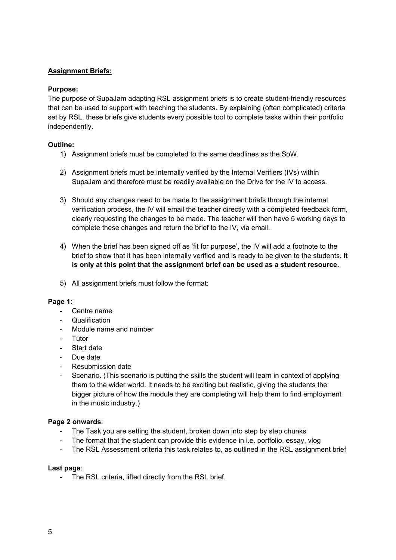## **Assignment Briefs:**

## **Purpose:**

The purpose of SupaJam adapting RSL assignment briefs is to create student-friendly resources that can be used to support with teaching the students. By explaining (often complicated) criteria set by RSL, these briefs give students every possible tool to complete tasks within their portfolio independently.

## **Outline:**

- 1) Assignment briefs must be completed to the same deadlines as the SoW.
- 2) Assignment briefs must be internally verified by the Internal Verifiers (IVs) within SupaJam and therefore must be readily available on the Drive for the IV to access.
- 3) Should any changes need to be made to the assignment briefs through the internal verification process, the IV will email the teacher directly with a completed feedback form, clearly requesting the changes to be made. The teacher will then have 5 working days to complete these changes and return the brief to the IV, via email.
- 4) When the brief has been signed off as 'fit for purpose', the IV will add a footnote to the brief to show that it has been internally verified and is ready to be given to the students. **It is only at this point that the assignment brief can be used as a student resource.**
- 5) All assignment briefs must follow the format:

#### **Page 1:**

- Centre name
- Qualification
- Module name and number
- Tutor
- Start date
- Due date
- Resubmission date
- Scenario. (This scenario is putting the skills the student will learn in context of applying them to the wider world. It needs to be exciting but realistic, giving the students the bigger picture of how the module they are completing will help them to find employment in the music industry.)

#### **Page 2 onwards**:

- The Task you are setting the student, broken down into step by step chunks
- The format that the student can provide this evidence in i.e. portfolio, essay, ylog
- The RSL Assessment criteria this task relates to, as outlined in the RSL assignment brief

#### **Last page**:

The RSL criteria, lifted directly from the RSL brief.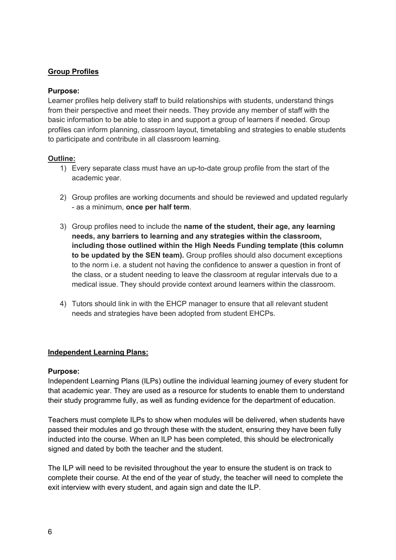# **Group Profiles**

# **Purpose:**

Learner profiles help delivery staff to build relationships with students, understand things from their perspective and meet their needs. They provide any member of staff with the basic information to be able to step in and support a group of learners if needed. Group profiles can inform planning, classroom layout, timetabling and strategies to enable students to participate and contribute in all classroom learning.

## **Outline:**

- 1) Every separate class must have an up-to-date group profile from the start of the academic year.
- 2) Group profiles are working documents and should be reviewed and updated regularly - as a minimum, **once per half term**.
- 3) Group profiles need to include the **name of the student, their age, any learning needs, any barriers to learning and any strategies within the classroom, including those outlined within the High Needs Funding template (this column to be updated by the SEN team).** Group profiles should also document exceptions to the norm i.e. a student not having the confidence to answer a question in front of the class, or a student needing to leave the classroom at regular intervals due to a medical issue. They should provide context around learners within the classroom.
- 4) Tutors should link in with the EHCP manager to ensure that all relevant student needs and strategies have been adopted from student EHCPs.

# **Independent Learning Plans:**

## **Purpose:**

Independent Learning Plans (ILPs) outline the individual learning journey of every student for that academic year. They are used as a resource for students to enable them to understand their study programme fully, as well as funding evidence for the department of education.

Teachers must complete ILPs to show when modules will be delivered, when students have passed their modules and go through these with the student, ensuring they have been fully inducted into the course. When an ILP has been completed, this should be electronically signed and dated by both the teacher and the student.

The ILP will need to be revisited throughout the year to ensure the student is on track to complete their course. At the end of the year of study, the teacher will need to complete the exit interview with every student, and again sign and date the ILP.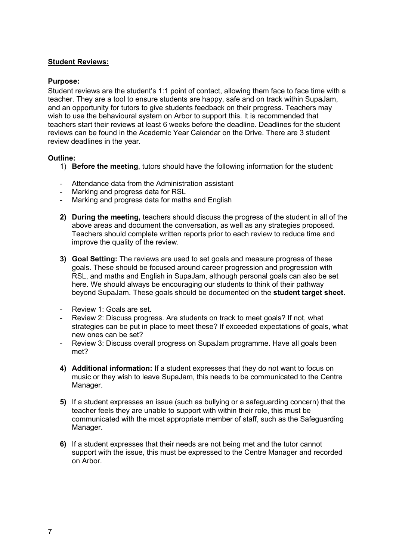## **Student Reviews:**

## **Purpose:**

Student reviews are the student's 1:1 point of contact, allowing them face to face time with a teacher. They are a tool to ensure students are happy, safe and on track within SupaJam, and an opportunity for tutors to give students feedback on their progress. Teachers may wish to use the behavioural system on Arbor to support this. It is recommended that teachers start their reviews at least 6 weeks before the deadline. Deadlines for the student reviews can be found in the Academic Year Calendar on the Drive. There are 3 student review deadlines in the year.

## **Outline:**

- 1) **Before the meeting**, tutors should have the following information for the student:
- Attendance data from the Administration assistant
- Marking and progress data for RSL
- Marking and progress data for maths and English
- **2) During the meeting,** teachers should discuss the progress of the student in all of the above areas and document the conversation, as well as any strategies proposed. Teachers should complete written reports prior to each review to reduce time and improve the quality of the review.
- **3) Goal Setting:** The reviews are used to set goals and measure progress of these goals. These should be focused around career progression and progression with RSL, and maths and English in SupaJam, although personal goals can also be set here. We should always be encouraging our students to think of their pathway beyond SupaJam. These goals should be documented on the **student target sheet.**
- Review 1: Goals are set.
- Review 2: Discuss progress. Are students on track to meet goals? If not, what strategies can be put in place to meet these? If exceeded expectations of goals, what new ones can be set?
- Review 3: Discuss overall progress on SupaJam programme. Have all goals been met?
- **4) Additional information:** If a student expresses that they do not want to focus on music or they wish to leave SupaJam, this needs to be communicated to the Centre Manager.
- **5)** If a student expresses an issue (such as bullying or a safeguarding concern) that the teacher feels they are unable to support with within their role, this must be communicated with the most appropriate member of staff, such as the Safeguarding Manager.
- **6)** If a student expresses that their needs are not being met and the tutor cannot support with the issue, this must be expressed to the Centre Manager and recorded on Arbor.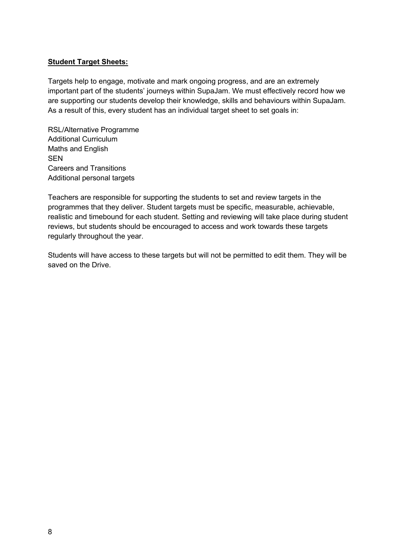# **Student Target Sheets:**

Targets help to engage, motivate and mark ongoing progress, and are an extremely important part of the students' journeys within SupaJam. We must effectively record how we are supporting our students develop their knowledge, skills and behaviours within SupaJam. As a result of this, every student has an individual target sheet to set goals in:

RSL/Alternative Programme Additional Curriculum Maths and English **SEN** Careers and Transitions Additional personal targets

Teachers are responsible for supporting the students to set and review targets in the programmes that they deliver. Student targets must be specific, measurable, achievable, realistic and timebound for each student. Setting and reviewing will take place during student reviews, but students should be encouraged to access and work towards these targets regularly throughout the year.

Students will have access to these targets but will not be permitted to edit them. They will be saved on the Drive.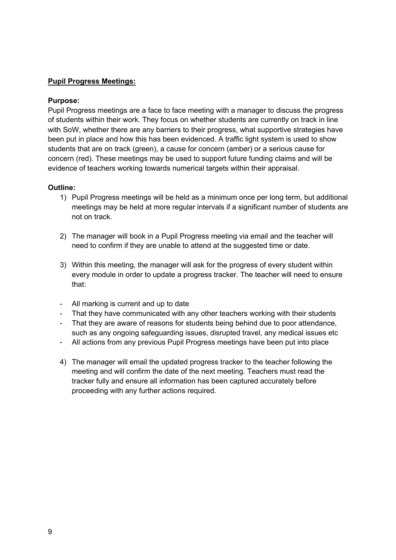# **Pupil Progress Meetings:**

## **Purpose:**

Pupil Progress meetings are a face to face meeting with a manager to discuss the progress of students within their work. They focus on whether students are currently on track in line with SoW, whether there are any barriers to their progress, what supportive strategies have been put in place and how this has been evidenced. A traffic light system is used to show students that are on track (green), a cause for concern (amber) or a serious cause for concern (red). These meetings may be used to support future funding claims and will be evidence of teachers working towards numerical targets within their appraisal.

#### **Outline:**

- 1) Pupil Progress meetings will be held as a minimum once per long term, but additional meetings may be held at more regular intervals if a significant number of students are not on track.
- 2) The manager will book in a Pupil Progress meeting via email and the teacher will need to confirm if they are unable to attend at the suggested time or date.
- 3) Within this meeting, the manager will ask for the progress of every student within every module in order to update a progress tracker. The teacher will need to ensure that:
- All marking is current and up to date
- That they have communicated with any other teachers working with their students
- That they are aware of reasons for students being behind due to poor attendance, such as any ongoing safeguarding issues, disrupted travel, any medical issues etc
- All actions from any previous Pupil Progress meetings have been put into place
- 4) The manager will email the updated progress tracker to the teacher following the meeting and will confirm the date of the next meeting. Teachers must read the tracker fully and ensure all information has been captured accurately before proceeding with any further actions required.